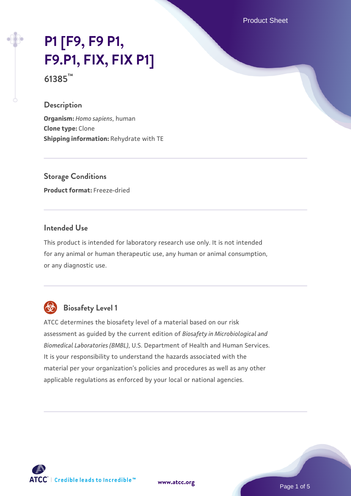Product Sheet

# **[P1 \[F9, F9 P1,](https://www.atcc.org/products/61385) [F9.P1, FIX, FIX P1\]](https://www.atcc.org/products/61385)**

**61385™**

### **Description**

**Organism:** *Homo sapiens*, human **Clone type:** Clone **Shipping information:** Rehydrate with TE

**Storage Conditions Product format:** Freeze-dried

# **Intended Use**

This product is intended for laboratory research use only. It is not intended for any animal or human therapeutic use, any human or animal consumption, or any diagnostic use.



# **Biosafety Level 1**

ATCC determines the biosafety level of a material based on our risk assessment as guided by the current edition of *Biosafety in Microbiological and Biomedical Laboratories (BMBL)*, U.S. Department of Health and Human Services. It is your responsibility to understand the hazards associated with the material per your organization's policies and procedures as well as any other applicable regulations as enforced by your local or national agencies.

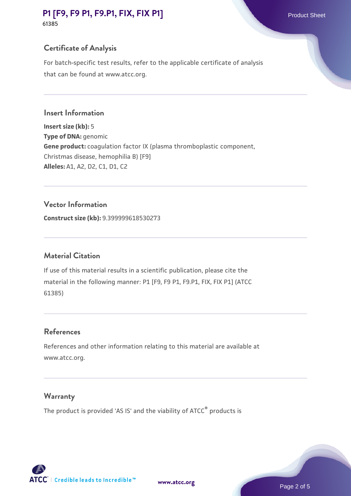# **[P1 \[F9, F9 P1, F9.P1, FIX, FIX P1\]](https://www.atcc.org/products/61385)** Product Sheet **61385**

# **Certificate of Analysis**

For batch-specific test results, refer to the applicable certificate of analysis that can be found at www.atcc.org.

#### **Insert Information**

**Insert size (kb):** 5 **Type of DNA:** genomic **Gene product:** coagulation factor IX (plasma thromboplastic component, Christmas disease, hemophilia B) [F9] **Alleles:** A1, A2, D2, C1, D1, C2

#### **Vector Information**

**Construct size (kb):** 9.399999618530273

#### **Material Citation**

If use of this material results in a scientific publication, please cite the material in the following manner: P1 [F9, F9 P1, F9.P1, FIX, FIX P1] (ATCC 61385)

#### **References**

References and other information relating to this material are available at www.atcc.org.

#### **Warranty**

The product is provided 'AS IS' and the viability of ATCC® products is



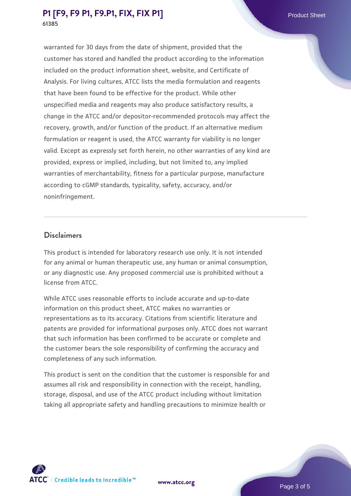# **[P1 \[F9, F9 P1, F9.P1, FIX, FIX P1\]](https://www.atcc.org/products/61385)** Product Sheet **61385**

warranted for 30 days from the date of shipment, provided that the customer has stored and handled the product according to the information included on the product information sheet, website, and Certificate of Analysis. For living cultures, ATCC lists the media formulation and reagents that have been found to be effective for the product. While other unspecified media and reagents may also produce satisfactory results, a change in the ATCC and/or depositor-recommended protocols may affect the recovery, growth, and/or function of the product. If an alternative medium formulation or reagent is used, the ATCC warranty for viability is no longer valid. Except as expressly set forth herein, no other warranties of any kind are provided, express or implied, including, but not limited to, any implied warranties of merchantability, fitness for a particular purpose, manufacture according to cGMP standards, typicality, safety, accuracy, and/or noninfringement.

#### **Disclaimers**

This product is intended for laboratory research use only. It is not intended for any animal or human therapeutic use, any human or animal consumption, or any diagnostic use. Any proposed commercial use is prohibited without a license from ATCC.

While ATCC uses reasonable efforts to include accurate and up-to-date information on this product sheet, ATCC makes no warranties or representations as to its accuracy. Citations from scientific literature and patents are provided for informational purposes only. ATCC does not warrant that such information has been confirmed to be accurate or complete and the customer bears the sole responsibility of confirming the accuracy and completeness of any such information.

This product is sent on the condition that the customer is responsible for and assumes all risk and responsibility in connection with the receipt, handling, storage, disposal, and use of the ATCC product including without limitation taking all appropriate safety and handling precautions to minimize health or



**[www.atcc.org](http://www.atcc.org)**

Page 3 of 5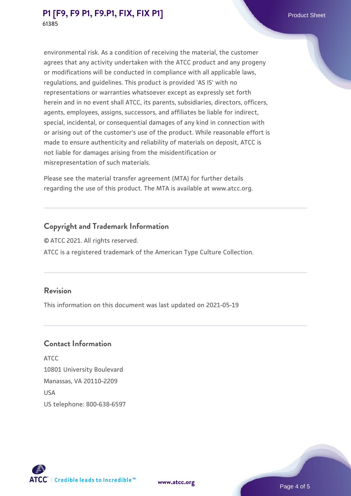environmental risk. As a condition of receiving the material, the customer agrees that any activity undertaken with the ATCC product and any progeny or modifications will be conducted in compliance with all applicable laws, regulations, and guidelines. This product is provided 'AS IS' with no representations or warranties whatsoever except as expressly set forth herein and in no event shall ATCC, its parents, subsidiaries, directors, officers, agents, employees, assigns, successors, and affiliates be liable for indirect, special, incidental, or consequential damages of any kind in connection with or arising out of the customer's use of the product. While reasonable effort is made to ensure authenticity and reliability of materials on deposit, ATCC is not liable for damages arising from the misidentification or misrepresentation of such materials.

Please see the material transfer agreement (MTA) for further details regarding the use of this product. The MTA is available at www.atcc.org.

# **Copyright and Trademark Information**

© ATCC 2021. All rights reserved. ATCC is a registered trademark of the American Type Culture Collection.

## **Revision**

This information on this document was last updated on 2021-05-19

# **Contact Information**

ATCC 10801 University Boulevard Manassas, VA 20110-2209 **IISA** US telephone: 800-638-6597